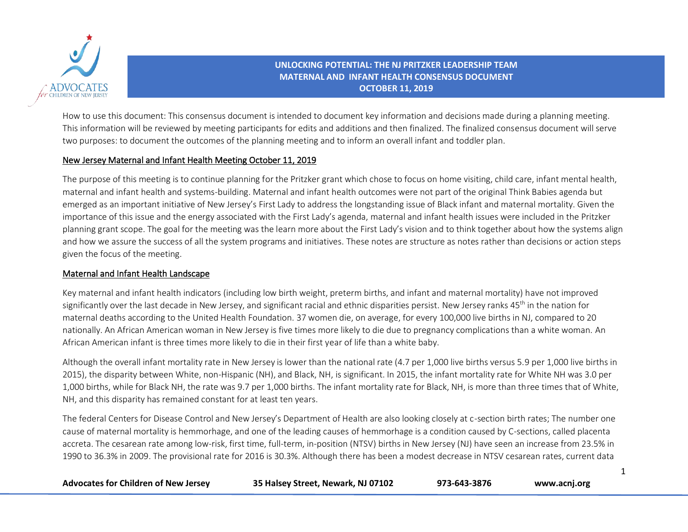

How to use this document: This consensus document is intended to document key information and decisions made during a planning meeting. This information will be reviewed by meeting participants for edits and additions and then finalized. The finalized consensus document will serve two purposes: to document the outcomes of the planning meeting and to inform an overall infant and toddler plan.

### New Jersey Maternal and Infant Health Meeting October 11, 2019

The purpose of this meeting is to continue planning for the Pritzker grant which chose to focus on home visiting, child care, infant mental health, maternal and infant health and systems-building. Maternal and infant health outcomes were not part of the original Think Babies agenda but emerged as an important initiative of New Jersey's First Lady to address the longstanding issue of Black infant and maternal mortality. Given the importance of this issue and the energy associated with the First Lady's agenda, maternal and infant health issues were included in the Pritzker planning grant scope. The goal for the meeting was the learn more about the First Lady's vision and to think together about how the systems align and how we assure the success of all the system programs and initiatives. These notes are structure as notes rather than decisions or action steps given the focus of the meeting.

# Maternal and Infant Health Landscape

Key maternal and infant health indicators (including low birth weight, preterm births, and infant and maternal mortality) have not improved significantly over the last decade in New Jersey, and significant racial and ethnic disparities persist. New Jersey ranks 45<sup>th</sup> in the nation for maternal deaths according to the United Health Foundation. 37 women die, on average, for every 100,000 live births in NJ, compared to 20 nationally. An African American woman in New Jersey is five times more likely to die due to pregnancy complications than a white woman. An African American infant is three times more likely to die in their first year of life than a white baby.

Although the overall infant mortality rate in New Jersey is lower than the national rate (4.7 per 1,000 live births versus 5.9 per 1,000 live births in 2015), the disparity between White, non-Hispanic (NH), and Black, NH, is significant. In 2015, the infant mortality rate for White NH was 3.0 per 1,000 births, while for Black NH, the rate was 9.7 per 1,000 births. The infant mortality rate for Black, NH, is more than three times that of White, NH, and this disparity has remained constant for at least ten years.

The federal Centers for Disease Control and New Jersey's Department of Health are also looking closely at c-section birth rates; The number one cause of maternal mortality is hemmorhage, and one of the leading causes of hemmorhage is a condition caused by C-sections, called placenta accreta. The cesarean rate among low-risk, first time, full-term, in-position (NTSV) births in New Jersey (NJ) have seen an increase from 23.5% in 1990 to 36.3% in 2009. The provisional rate for 2016 is 30.3%. Although there has been a modest decrease in NTSV cesarean rates, current data

| <b>Advocates for Children of New Jersey</b> | 35 Halsey Street, Newark, NJ 07102 | 973-643-3876 | www.acnj.org |
|---------------------------------------------|------------------------------------|--------------|--------------|
|---------------------------------------------|------------------------------------|--------------|--------------|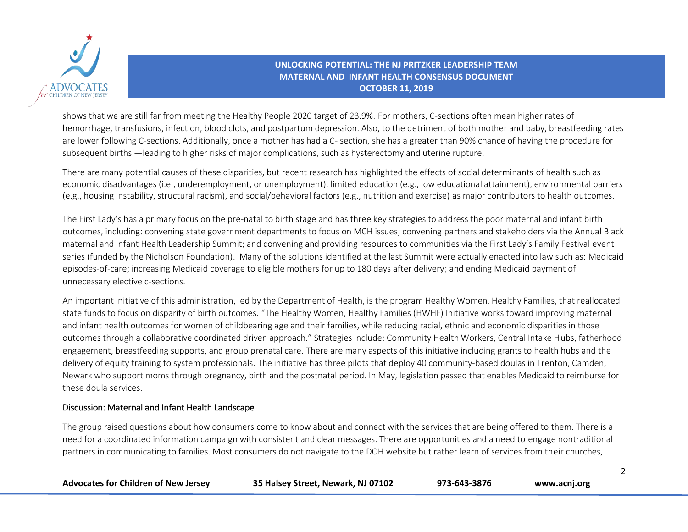

shows that we are still far from meeting the Healthy People 2020 target of 23.9%. For mothers, C-sections often mean higher rates of hemorrhage, transfusions, infection, blood clots, and postpartum depression. Also, to the detriment of both mother and baby, breastfeeding rates are lower following C-sections. Additionally, once a mother has had a C- section, she has a greater than 90% chance of having the procedure for subsequent births —leading to higher risks of major complications, such as hysterectomy and uterine rupture.

There are many potential causes of these disparities, but recent research has highlighted the effects of social determinants of health such as economic disadvantages (i.e., underemployment, or unemployment), limited education (e.g., low educational attainment), environmental barriers (e.g., housing instability, structural racism), and social/behavioral factors (e.g., nutrition and exercise) as major contributors to health outcomes.

The First Lady's has a primary focus on the pre-natal to birth stage and has three key strategies to address the poor maternal and infant birth outcomes, including: convening state government departments to focus on MCH issues; convening partners and stakeholders via the Annual Black maternal and infant Health Leadership Summit; and convening and providing resources to communities via the First Lady's Family Festival event series (funded by the Nicholson Foundation). Many of the solutions identified at the last Summit were actually enacted into law such as: Medicaid episodes-of-care; increasing Medicaid coverage to eligible mothers for up to 180 days after delivery; and ending Medicaid payment of unnecessary elective c-sections.

An important initiative of this administration, led by the Department of Health, is the program Healthy Women, Healthy Families, that reallocated state funds to focus on disparity of birth outcomes. "The Healthy Women, Healthy Families (HWHF) Initiative works toward improving maternal and infant health outcomes for women of childbearing age and their families, while reducing racial, ethnic and economic disparities in those outcomes through a collaborative coordinated driven approach." Strategies include: Community Health Workers, Central Intake Hubs, fatherhood engagement, breastfeeding supports, and group prenatal care. There are many aspects of this initiative including grants to health hubs and the delivery of equity training to system professionals. The initiative has three pilots that deploy 40 community-based doulas in Trenton, Camden, Newark who support moms through pregnancy, birth and the postnatal period. In May, legislation passed that enables Medicaid to reimburse for these doula services.

#### Discussion: Maternal and Infant Health Landscape

The group raised questions about how consumers come to know about and connect with the services that are being offered to them. There is a need for a coordinated information campaign with consistent and clear messages. There are opportunities and a need to engage nontraditional partners in communicating to families. Most consumers do not navigate to the DOH website but rather learn of services from their churches,

| <b>Advocates for Children of New Jersey</b> | 35 Halsey Street, Newark, NJ 07102 | 973-643-3876 | www.acnj.org |
|---------------------------------------------|------------------------------------|--------------|--------------|
|---------------------------------------------|------------------------------------|--------------|--------------|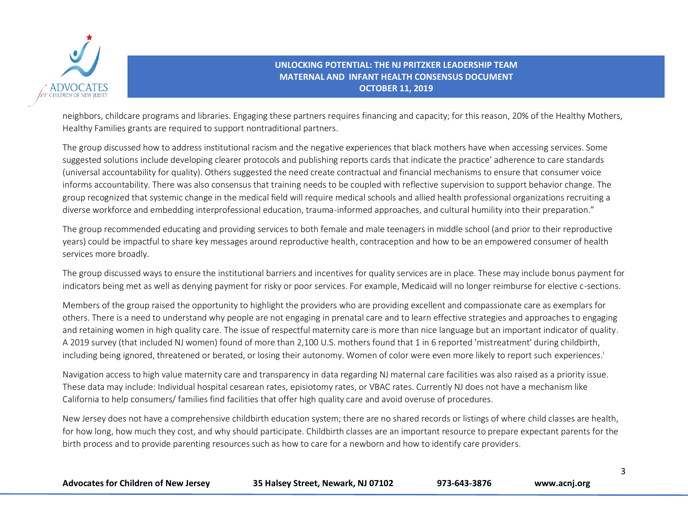

neighbors, childcare programs and libraries. Engaging these partners requires financing and capacity; for this reason, 20% of the Healthy Mothers, Healthy Families grants are required to support nontraditional partners.

The group discussed how to address institutional racism and the negative experiences that black mothers have when accessing services. Some suggested solutions include developing clearer protocols and publishing reports cards that indicate the practice' adherence to care standards (universal accountability for quality). Others suggested the need create contractual and financial mechanisms to ensure that consumer voice informs accountability. There was also consensus that training needs to be coupled with reflective supervision to support behavior change. The group recognized that systemic change in the medical field will require medical schools and allied health professional organizations recruiting a diverse workforce and embedding interprofessional education, trauma-informed approaches, and cultural humility into their preparation."

The group recommended educating and providing services to both female and male teenagers in middle school (and prior to their reproductive years) could be impactful to share key messages around reproductive health, contraception and how to be an empowered consumer of health services more broadly.

The group discussed ways to ensure the institutional barriers and incentives for quality services are in place. These may include bonus payment for indicators being met as well as denying payment for risky or poor services. For example, Medicaid will no longer reimburse for elective c-sections.

Members of the group raised the opportunity to highlight the providers who are providing excellent and compassionate care as exemplars for others. There is a need to understand why people are not engaging in prenatal care and to learn effective strategies and approaches to engaging and retaining women in high quality care. The issue of respectful maternity care is more than nice language but an important indicator of quality. A 2019 survey (that included NJ women) found of more than 2,100 U.S. mothers found that 1 in 6 reported 'mistreatment' during childbirth, including being ignored, threatened or berated, or losing their autonomy. Women of color were even more likely to report such experiences. i

Navigation access to high value maternity care and transparency in data regarding NJ maternal care facilities was also raised as a priority issue. These data may include: Individual hospital cesarean rates, episiotomy rates, or VBAC rates. Currently NJ does not have a mechanism like California to help consumers/ families find facilities that offer high quality care and avoid overuse of procedures.

New Jersey does not have a comprehensive childbirth education system; there are no shared records or listings of where child classes are health, for how long, how much they cost, and why should participate. Childbirth classes are an important resource to prepare expectant parents for the birth process and to provide parenting resources such as how to care for a newborn and how to identify care providers.

| <b>Advocates for Children of New Jersey</b> | 35 Halsey Street, Newark, NJ 07102 | 973-643-3876 | www.acnj.org |
|---------------------------------------------|------------------------------------|--------------|--------------|
|---------------------------------------------|------------------------------------|--------------|--------------|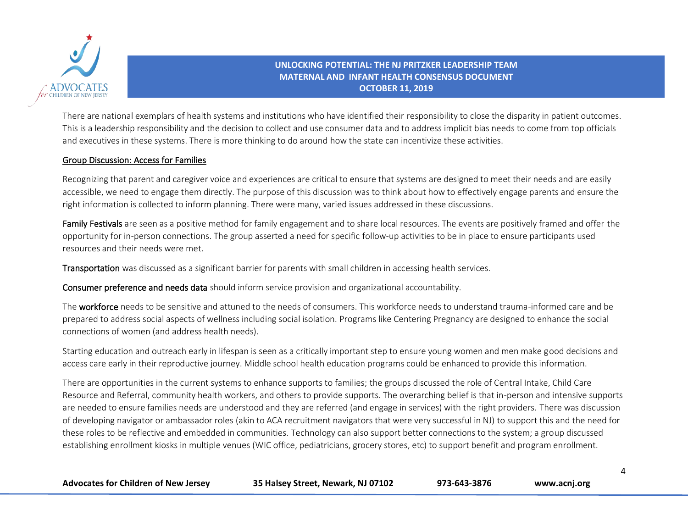

There are national exemplars of health systems and institutions who have identified their responsibility to close the disparity in patient outcomes. This is a leadership responsibility and the decision to collect and use consumer data and to address implicit bias needs to come from top officials and executives in these systems. There is more thinking to do around how the state can incentivize these activities.

#### Group Discussion: Access for Families

Recognizing that parent and caregiver voice and experiences are critical to ensure that systems are designed to meet their needs and are easily accessible, we need to engage them directly. The purpose of this discussion was to think about how to effectively engage parents and ensure the right information is collected to inform planning. There were many, varied issues addressed in these discussions.

Family Festivals are seen as a positive method for family engagement and to share local resources. The events are positively framed and offer the opportunity for in-person connections. The group asserted a need for specific follow-up activities to be in place to ensure participants used resources and their needs were met.

Transportation was discussed as a significant barrier for parents with small children in accessing health services.

Consumer preference and needs data should inform service provision and organizational accountability.

The workforce needs to be sensitive and attuned to the needs of consumers. This workforce needs to understand trauma-informed care and be prepared to address social aspects of wellness including social isolation. Programs like Centering Pregnancy are designed to enhance the social connections of women (and address health needs).

Starting education and outreach early in lifespan is seen as a critically important step to ensure young women and men make good decisions and access care early in their reproductive journey. Middle school health education programs could be enhanced to provide this information.

There are opportunities in the current systems to enhance supports to families; the groups discussed the role of Central Intake, Child Care Resource and Referral, community health workers, and others to provide supports. The overarching belief is that in-person and intensive supports are needed to ensure families needs are understood and they are referred (and engage in services) with the right providers. There was discussion of developing navigator or ambassador roles (akin to ACA recruitment navigators that were very successful in NJ) to support this and the need for these roles to be reflective and embedded in communities. Technology can also support better connections to the system; a group discussed establishing enrollment kiosks in multiple venues (WIC office, pediatricians, grocery stores, etc) to support benefit and program enrollment.

| <b>Advocates for Children of New Jersey</b> | 35 Halsey Street, Newark, NJ 07102 | 973-643-3876 | www.acnj.org |
|---------------------------------------------|------------------------------------|--------------|--------------|
|---------------------------------------------|------------------------------------|--------------|--------------|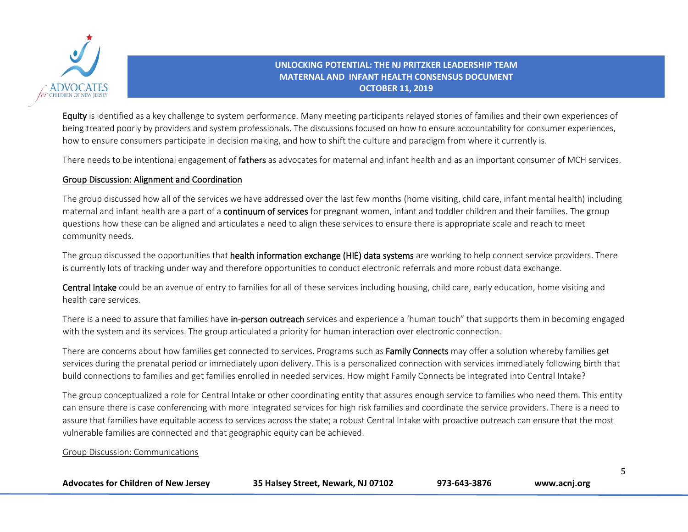

Equity is identified as a key challenge to system performance. Many meeting participants relayed stories of families and their own experiences of being treated poorly by providers and system professionals. The discussions focused on how to ensure accountability for consumer experiences, how to ensure consumers participate in decision making, and how to shift the culture and paradigm from where it currently is.

There needs to be intentional engagement of fathers as advocates for maternal and infant health and as an important consumer of MCH services.

# Group Discussion: Alignment and Coordination

The group discussed how all of the services we have addressed over the last few months (home visiting, child care, infant mental health) including maternal and infant health are a part of a **continuum of services** for pregnant women, infant and toddler children and their families. The group questions how these can be aligned and articulates a need to align these services to ensure there is appropriate scale and reach to meet community needs.

The group discussed the opportunities that health information exchange (HIE) data systems are working to help connect service providers. There is currently lots of tracking under way and therefore opportunities to conduct electronic referrals and more robust data exchange.

Central Intake could be an avenue of entry to families for all of these services including housing, child care, early education, home visiting and health care services.

There is a need to assure that families have in-person outreach services and experience a 'human touch" that supports them in becoming engaged with the system and its services. The group articulated a priority for human interaction over electronic connection.

There are concerns about how families get connected to services. Programs such as Family Connects may offer a solution whereby families get services during the prenatal period or immediately upon delivery. This is a personalized connection with services immediately following birth that build connections to families and get families enrolled in needed services. How might Family Connects be integrated into Central Intake?

The group conceptualized a role for Central Intake or other coordinating entity that assures enough service to families who need them. This entity can ensure there is case conferencing with more integrated services for high risk families and coordinate the service providers. There is a need to assure that families have equitable access to services across the state; a robust Central Intake with proactive outreach can ensure that the most vulnerable families are connected and that geographic equity can be achieved.

#### Group Discussion: Communications

| <b>Advocates for Children of New Jersey</b> | 35 Halsey Street, Newark, NJ 07102 | 973-643-3876 | www.acnj.org |
|---------------------------------------------|------------------------------------|--------------|--------------|
|---------------------------------------------|------------------------------------|--------------|--------------|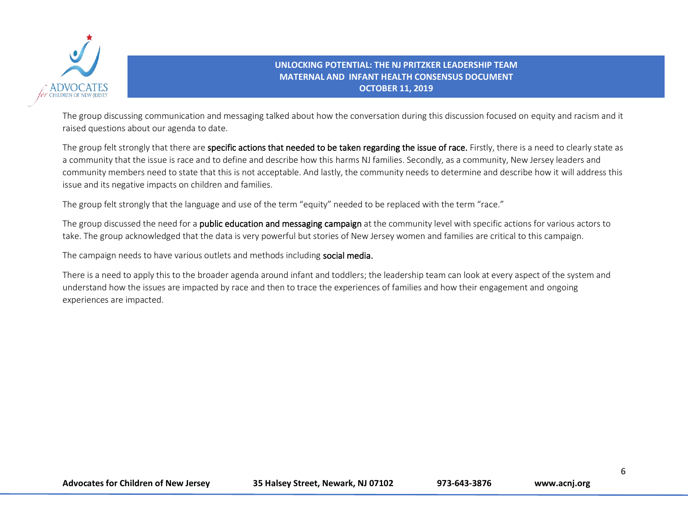

The group discussing communication and messaging talked about how the conversation during this discussion focused on equity and racism and it raised questions about our agenda to date.

The group felt strongly that there are specific actions that needed to be taken regarding the issue of race. Firstly, there is a need to clearly state as a community that the issue is race and to define and describe how this harms NJ families. Secondly, as a community, New Jersey leaders and community members need to state that this is not acceptable. And lastly, the community needs to determine and describe how it will address this issue and its negative impacts on children and families.

The group felt strongly that the language and use of the term "equity" needed to be replaced with the term "race."

The group discussed the need for a public education and messaging campaign at the community level with specific actions for various actors to take. The group acknowledged that the data is very powerful but stories of New Jersey women and families are critical to this campaign.

The campaign needs to have various outlets and methods including social media.

There is a need to apply this to the broader agenda around infant and toddlers; the leadership team can look at every aspect of the system and understand how the issues are impacted by race and then to trace the experiences of families and how their engagement and ongoing experiences are impacted.

**Advocates for Children of New Jersey 35 Halsey Street, Newark, NJ 07102 973-643-3876 www.acnj.org**